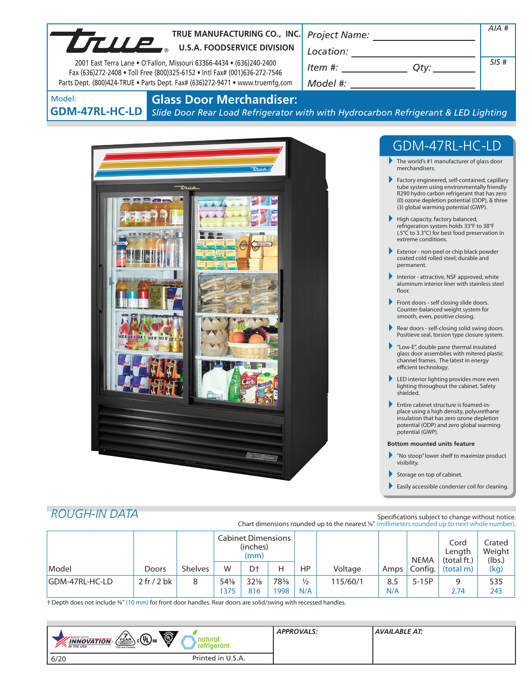| TRUE MANUFACTURING CO., INC.                                                                                                                                                                                                      |                                                                                                                                                                                                                                                                                                                                                                                                                                                                                                                                                                                                                                                                                                                                                                                                                                                                                                                                                                                                                                                                                      | AIA # |
|-----------------------------------------------------------------------------------------------------------------------------------------------------------------------------------------------------------------------------------|--------------------------------------------------------------------------------------------------------------------------------------------------------------------------------------------------------------------------------------------------------------------------------------------------------------------------------------------------------------------------------------------------------------------------------------------------------------------------------------------------------------------------------------------------------------------------------------------------------------------------------------------------------------------------------------------------------------------------------------------------------------------------------------------------------------------------------------------------------------------------------------------------------------------------------------------------------------------------------------------------------------------------------------------------------------------------------------|-------|
| TRUE MANUFACTURING CO., INC                                                                                                                                                                                                       |                                                                                                                                                                                                                                                                                                                                                                                                                                                                                                                                                                                                                                                                                                                                                                                                                                                                                                                                                                                                                                                                                      |       |
| 2001 East Terra Lane . O'Fallon, Missouri 63366-4434 . (636)240-2400<br>Fax (636)272-2408 . Toll Free (800)325-6152 . Intl Fax# (001)636-272-7546<br>Parts Dept. (800)424-TRUE . Parts Dept. Fax# (636)272-9471 . www.truemfg.com | $Item$ #: $Qty:$ $Qty:$ $\qquad$                                                                                                                                                                                                                                                                                                                                                                                                                                                                                                                                                                                                                                                                                                                                                                                                                                                                                                                                                                                                                                                     | SIS#  |
| <b>Glass Door Merchandiser:</b><br>Model:                                                                                                                                                                                         |                                                                                                                                                                                                                                                                                                                                                                                                                                                                                                                                                                                                                                                                                                                                                                                                                                                                                                                                                                                                                                                                                      |       |
| <b>GDM-47RL-HC-LD</b>                                                                                                                                                                                                             | Slide Door Rear Load Refrigerator with with Hydrocarbon Refrigerant & LED Lighting                                                                                                                                                                                                                                                                                                                                                                                                                                                                                                                                                                                                                                                                                                                                                                                                                                                                                                                                                                                                   |       |
|                                                                                                                                                                                                                                   |                                                                                                                                                                                                                                                                                                                                                                                                                                                                                                                                                                                                                                                                                                                                                                                                                                                                                                                                                                                                                                                                                      |       |
|                                                                                                                                                                                                                                   | GDM-47RL-HC-LD                                                                                                                                                                                                                                                                                                                                                                                                                                                                                                                                                                                                                                                                                                                                                                                                                                                                                                                                                                                                                                                                       |       |
| true                                                                                                                                                                                                                              | $\blacktriangleright$ The world's #1 manufacturer of glass door<br>merchandisers.                                                                                                                                                                                                                                                                                                                                                                                                                                                                                                                                                                                                                                                                                                                                                                                                                                                                                                                                                                                                    |       |
| <i>True</i><br>ZE UZE UZE UZE V                                                                                                                                                                                                   | Factory engineered, self-contained, capillary<br>tube system using environmentally friendly<br>R290 hydro carbon refrigerant that has zero<br>(0) ozone depletion potential (ODP), & three<br>(3) global warming potential (GWP).<br>High capacity, factory balanced,<br>refrigeration system holds 33°F to 38°F<br>(.5°C to 3.3°C) for best food preservation in<br>extreme conditions.<br>Exterior - non-peel or chip black powder<br>coated cold rolled steel; durable and<br>permanent.<br>Interior - attractive, NSF approved, white<br>aluminum interior liner with stainless steel<br>floor.<br>Front doors - self closing slide doors.<br>Counter-balanced weight system for<br>smooth, even, positive closing.<br>Rear doors - self-closing solid swing doors.<br>Positieve seal, torsion type closure system.<br>"Low-E", double pane thermal insulated<br>glass door assemblies with mitered plastic<br>channel frames. The latest in energy<br>efficient technology.<br>LED interior lighting provides more even<br>lighting throughout the cabinet. Safety<br>shielded. |       |
|                                                                                                                                                                                                                                   | Entire cabinet structure is foamed-in-<br>place using a high density, polyurethane<br>insulation that has zero ozone depletion<br>potential (ODP) and zero global warming<br>potential (GWP).                                                                                                                                                                                                                                                                                                                                                                                                                                                                                                                                                                                                                                                                                                                                                                                                                                                                                        |       |
|                                                                                                                                                                                                                                   | <b>Bottom mounted units feature</b>                                                                                                                                                                                                                                                                                                                                                                                                                                                                                                                                                                                                                                                                                                                                                                                                                                                                                                                                                                                                                                                  |       |
| $6$ True                                                                                                                                                                                                                          | "No stoop" lower shelf to maximize product<br>visibility.                                                                                                                                                                                                                                                                                                                                                                                                                                                                                                                                                                                                                                                                                                                                                                                                                                                                                                                                                                                                                            |       |
|                                                                                                                                                                                                                                   | Storage on top of cabinet.                                                                                                                                                                                                                                                                                                                                                                                                                                                                                                                                                                                                                                                                                                                                                                                                                                                                                                                                                                                                                                                           |       |
|                                                                                                                                                                                                                                   | Easily accessible condenser coil for cleaning.                                                                                                                                                                                                                                                                                                                                                                                                                                                                                                                                                                                                                                                                                                                                                                                                                                                                                                                                                                                                                                       |       |

# *ROUGH-IN DATA*

Specifications subject to change without notice. Chart dimensions rounded up to the nearest <sup>1</sup>/8" (millimeters rounded up to next whole number).

|                |             |                | <b>Cabinet Dimensions</b><br>(inches)<br>(mm) |                 |      |               |          | <b>NEMA</b> | Cord<br>Length<br>(total ft.) | Crated<br>Weight<br>(lbs.) |      |
|----------------|-------------|----------------|-----------------------------------------------|-----------------|------|---------------|----------|-------------|-------------------------------|----------------------------|------|
| Model          | Doors       | <b>Shelves</b> | W                                             | D <sup>+</sup>  | н    | HP            | Voltage  | Amps        | Config.                       | (total m)                  | (kg) |
| GDM-47RL-HC-LD | 2 fr / 2 bk | 8              | 541/8                                         | $32\frac{1}{8}$ | 78%  | $\frac{1}{2}$ | 115/60/1 | 8.5         | $5-15P$                       | q                          | 535  |
|                |             |                | 1375                                          | 816             | 1998 | N/A           |          | N/A         |                               | 2.74                       | 243  |

† Depth does not include 3/8" (10 mm) for front door handles. Rear doors are solid/swing with recessed handles.

| Ö,<br>$_{c}$ (Up) <sub>us</sub><br><b>MADE WITH.</b><br>natural<br>YEAR<br><b>INNOVATION</b><br>retrigerant.<br><b>M</b> THE USA<br>USA and Canada | <b>APPROVALS:</b> | AVAILABLE AT: |
|----------------------------------------------------------------------------------------------------------------------------------------------------|-------------------|---------------|
| Printed in U.S.A.<br>6/20                                                                                                                          |                   |               |